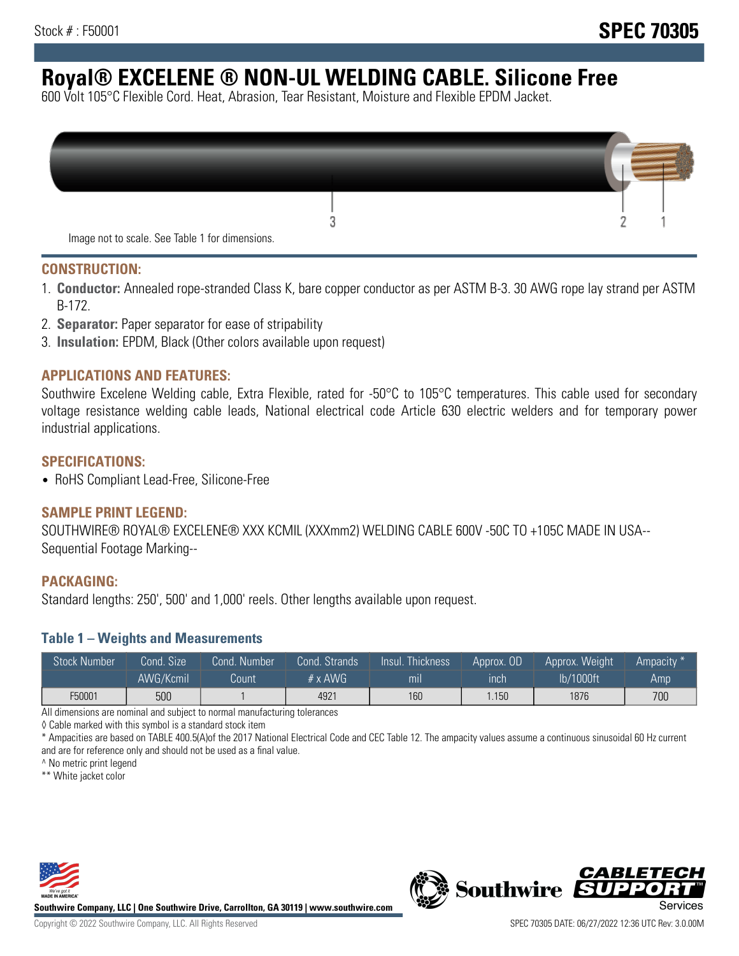# **Royal® EXCELENE ® NON-UL WELDING CABLE. Silicone Free**

600 Volt 105°C Flexible Cord. Heat, Abrasion, Tear Resistant, Moisture and Flexible EPDM Jacket.

| Image not to scale. See Table 1 for dimensions. |  |
|-------------------------------------------------|--|

#### **CONSTRUCTION:**

- 1. **Conductor:** Annealed rope-stranded Class K, bare copper conductor as per ASTM B-3. 30 AWG rope lay strand per ASTM B-172.
- 2. **Separator:** Paper separator for ease of stripability
- 3. **Insulation:** EPDM, Black (Other colors available upon request)

#### **APPLICATIONS AND FEATURES:**

Southwire Excelene Welding cable, Extra Flexible, rated for -50°C to 105°C temperatures. This cable used for secondary voltage resistance welding cable leads, National electrical code Article 630 electric welders and for temporary power industrial applications.

#### **SPECIFICATIONS:**

• RoHS Compliant Lead-Free, Silicone-Free

#### **SAMPLE PRINT LEGEND:**

SOUTHWIRE® ROYAL® EXCELENE® XXX KCMIL (XXXmm2) WELDING CABLE 600V -50C TO +105C MADE IN USA-- Sequential Footage Marking--

#### **PACKAGING:**

Standard lengths: 250', 500' and 1,000' reels. Other lengths available upon request.

#### **Table 1 – Weights and Measurements**

| <b>Stock Number</b> | Cond. Size' | Cond. Number | Cond. Strands   | Insul. Thickness | Approx. OD | Approx. Weight | Ampacity * |
|---------------------|-------------|--------------|-----------------|------------------|------------|----------------|------------|
|                     | AWG/Kcmil   | Count        | $# \times$ AWG. | m <sub>l</sub>   | inch       | lb/1000ft      | Amp        |
| F50001              | 500         |              | 4921            | 160              | 1.150      | 1876           | 700        |

All dimensions are nominal and subject to normal manufacturing tolerances

◊ Cable marked with this symbol is a standard stock item

\* Ampacities are based on TABLE 400.5(A)of the 2017 National Electrical Code and CEC Table 12. The ampacity values assume a continuous sinusoidal 60 Hz current and are for reference only and should not be used as a final value.

^ No metric print legend

\*\* White jacket color



**Southwire Company, LLC | One Southwire Drive, Carrollton, GA 30119 | www.southwire.com**



*CABLETE*